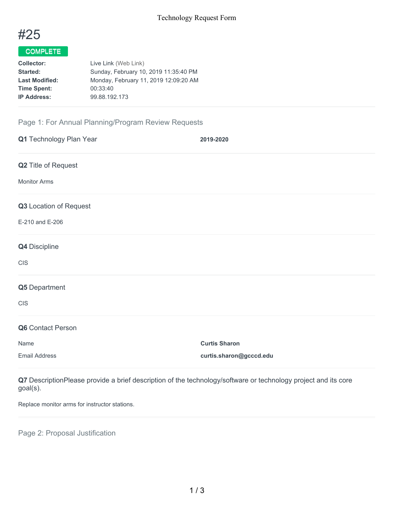

## COMPLETE

| <b>Collector:</b>     | Live Link (Web Link)                  |
|-----------------------|---------------------------------------|
| Started:              | Sunday, February 10, 2019 11:35:40 PM |
| <b>Last Modified:</b> | Monday, February 11, 2019 12:09:20 AM |
| <b>Time Spent:</b>    | 00:33:40                              |
| <b>IP Address:</b>    | 99.88.192.173                         |
|                       |                                       |

## Page 1: For Annual Planning/Program Review Requests

| Q1 Technology Plan Year | 2019-2020               |
|-------------------------|-------------------------|
| Q2 Title of Request     |                         |
| <b>Monitor Arms</b>     |                         |
| Q3 Location of Request  |                         |
| E-210 and E-206         |                         |
| Q4 Discipline           |                         |
| <b>CIS</b>              |                         |
| Q5 Department           |                         |
| <b>CIS</b>              |                         |
| Q6 Contact Person       |                         |
| Name                    | <b>Curtis Sharon</b>    |
| <b>Email Address</b>    | curtis.sharon@gcccd.edu |

**Q7** DescriptionPlease provide a brief description of the technology/software or technology project and its core goal(s).

Replace monitor arms for instructor stations.

Page 2: Proposal Justification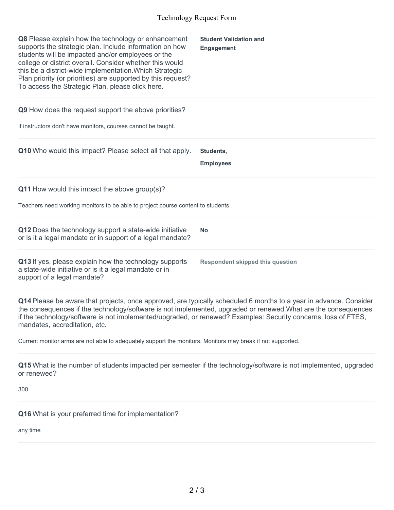## Technology Request Form

| Q8 Please explain how the technology or enhancement<br>supports the strategic plan. Include information on how<br>students will be impacted and/or employees or the<br>college or district overall. Consider whether this would<br>this be a district-wide implementation. Which Strategic<br>Plan priority (or priorities) are supported by this request?<br>To access the Strategic Plan, please click here.                                                                                       | <b>Student Validation and</b><br><b>Engagement</b> |  |
|------------------------------------------------------------------------------------------------------------------------------------------------------------------------------------------------------------------------------------------------------------------------------------------------------------------------------------------------------------------------------------------------------------------------------------------------------------------------------------------------------|----------------------------------------------------|--|
| Q9 How does the request support the above priorities?                                                                                                                                                                                                                                                                                                                                                                                                                                                |                                                    |  |
| If instructors don't have monitors, courses cannot be taught.                                                                                                                                                                                                                                                                                                                                                                                                                                        |                                                    |  |
| Q10 Who would this impact? Please select all that apply.                                                                                                                                                                                                                                                                                                                                                                                                                                             | Students,                                          |  |
|                                                                                                                                                                                                                                                                                                                                                                                                                                                                                                      | <b>Employees</b>                                   |  |
| Q11 How would this impact the above group(s)?                                                                                                                                                                                                                                                                                                                                                                                                                                                        |                                                    |  |
| Teachers need working monitors to be able to project course content to students.                                                                                                                                                                                                                                                                                                                                                                                                                     |                                                    |  |
| Q12 Does the technology support a state-wide initiative<br>or is it a legal mandate or in support of a legal mandate?                                                                                                                                                                                                                                                                                                                                                                                | <b>No</b>                                          |  |
| Q13 If yes, please explain how the technology supports<br>a state-wide initiative or is it a legal mandate or in<br>support of a legal mandate?                                                                                                                                                                                                                                                                                                                                                      | <b>Respondent skipped this question</b>            |  |
| Q14 Please be aware that projects, once approved, are typically scheduled 6 months to a year in advance. Consider<br>the consequences if the technology/software is not implemented, upgraded or renewed. What are the consequences<br>if the technology/software is not implemented/upgraded, or renewed? Examples: Security concerns, loss of FTES,<br>mandates, accreditation, etc.<br>Current monitor arms are not able to adequately support the monitors. Monitors may break if not supported. |                                                    |  |
|                                                                                                                                                                                                                                                                                                                                                                                                                                                                                                      |                                                    |  |
| Q15 What is the number of students impacted per semester if the technology/software is not implemented, upgraded<br>or renewed?                                                                                                                                                                                                                                                                                                                                                                      |                                                    |  |
| 300                                                                                                                                                                                                                                                                                                                                                                                                                                                                                                  |                                                    |  |

**Q16** What is your preferred time for implementation?

any time